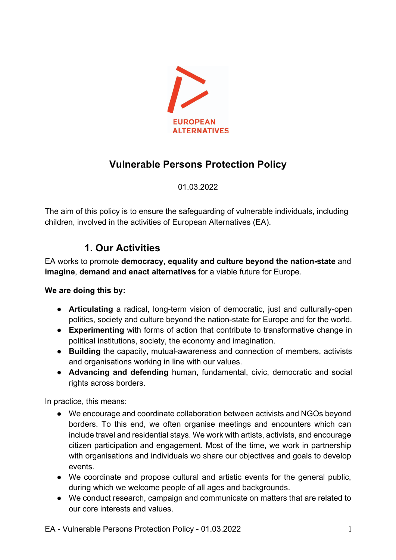

## **Vulnerable Persons Protection Policy**

01.03.2022

The aim of this policy is to ensure the safeguarding of vulnerable individuals, including children, involved in the activities of European Alternatives (EA).

## **1. Our Activities**

EA works to promote **democracy, equality and culture beyond the nation-state** and **imagine**, **demand and enact alternatives** for a viable future for Europe.

**We are doing this by:**

- **Articulating** a radical, long-term vision of democratic, just and culturally-open politics, society and culture beyond the nation-state for Europe and for the world.
- **Experimenting** with forms of action that contribute to transformative change in political institutions, society, the economy and imagination.
- **Building** the capacity, mutual-awareness and connection of members, activists and organisations working in line with our values.
- **Advancing and defending** human, fundamental, civic, democratic and social rights across borders.

In practice, this means:

- We encourage and coordinate collaboration between activists and NGOs beyond borders. To this end, we often organise meetings and encounters which can include travel and residential stays. We work with artists, activists, and encourage citizen participation and engagement. Most of the time, we work in partnership with organisations and individuals wo share our objectives and goals to develop events.
- We coordinate and propose cultural and artistic events for the general public, during which we welcome people of all ages and backgrounds.
- We conduct research, campaign and communicate on matters that are related to our core interests and values.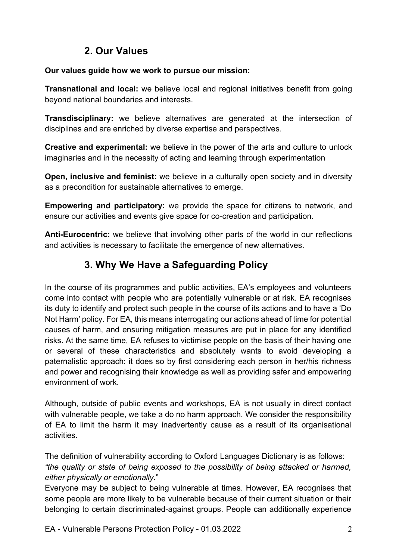## **2. Our Values**

#### **Our values guide how we work to pursue our mission:**

**Transnational and local:** we believe local and regional initiatives benefit from going beyond national boundaries and interests.

**Transdisciplinary:** we believe alternatives are generated at the intersection of disciplines and are enriched by diverse expertise and perspectives.

**Creative and experimental:** we believe in the power of the arts and culture to unlock imaginaries and in the necessity of acting and learning through experimentation

**Open, inclusive and feminist:** we believe in a culturally open society and in diversity as a precondition for sustainable alternatives to emerge.

**Empowering and participatory:** we provide the space for citizens to network, and ensure our activities and events give space for co-creation and participation.

**Anti-Eurocentric:** we believe that involving other parts of the world in our reflections and activities is necessary to facilitate the emergence of new alternatives.

# **3. Why We Have a Safeguarding Policy**

In the course of its programmes and public activities, EA's employees and volunteers come into contact with people who are potentially vulnerable or at risk. EA recognises its duty to identify and protect such people in the course of its actions and to have a 'Do Not Harm' policy. For EA, this means interrogating our actions ahead of time for potential causes of harm, and ensuring mitigation measures are put in place for any identified risks. At the same time, EA refuses to victimise people on the basis of their having one or several of these characteristics and absolutely wants to avoid developing a paternalistic approach: it does so by first considering each person in her/his richness and power and recognising their knowledge as well as providing safer and empowering environment of work.

Although, outside of public events and workshops, EA is not usually in direct contact with vulnerable people, we take a do no harm approach. We consider the responsibility of EA to limit the harm it may inadvertently cause as a result of its organisational activities.

The definition of vulnerability according to Oxford Languages Dictionary is as follows: *"the quality or state of being exposed to the possibility of being attacked or harmed, either physically or emotionally.*"

Everyone may be subject to being vulnerable at times. However, EA recognises that some people are more likely to be vulnerable because of their current situation or their belonging to certain discriminated-against groups. People can additionally experience

EA - Vulnerable Persons Protection Policy - 01.03.2022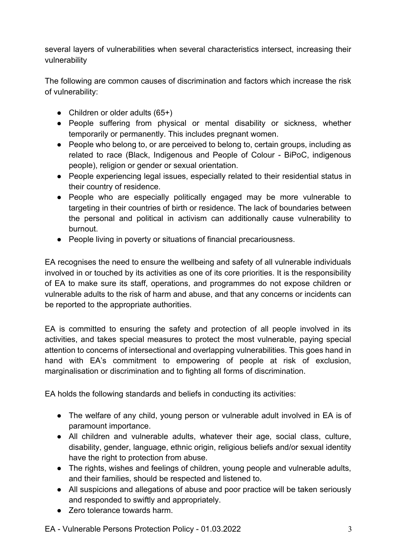several layers of vulnerabilities when several characteristics intersect, increasing their vulnerability

The following are common causes of discrimination and factors which increase the risk of vulnerability:

- Children or older adults  $(65+)$
- People suffering from physical or mental disability or sickness, whether temporarily or permanently. This includes pregnant women.
- People who belong to, or are perceived to belong to, certain groups, including as related to race (Black, Indigenous and People of Colour - BiPoC, indigenous people), religion or gender or sexual orientation.
- People experiencing legal issues, especially related to their residential status in their country of residence.
- People who are especially politically engaged may be more vulnerable to targeting in their countries of birth or residence. The lack of boundaries between the personal and political in activism can additionally cause vulnerability to burnout.
- People living in poverty or situations of financial precariousness.

EA recognises the need to ensure the wellbeing and safety of all vulnerable individuals involved in or touched by its activities as one of its core priorities. It is the responsibility of EA to make sure its staff, operations, and programmes do not expose children or vulnerable adults to the risk of harm and abuse, and that any concerns or incidents can be reported to the appropriate authorities.

EA is committed to ensuring the safety and protection of all people involved in its activities, and takes special measures to protect the most vulnerable, paying special attention to concerns of intersectional and overlapping vulnerabilities. This goes hand in hand with EA's commitment to empowering of people at risk of exclusion, marginalisation or discrimination and to fighting all forms of discrimination.

EA holds the following standards and beliefs in conducting its activities:

- The welfare of any child, young person or vulnerable adult involved in EA is of paramount importance.
- All children and vulnerable adults, whatever their age, social class, culture, disability, gender, language, ethnic origin, religious beliefs and/or sexual identity have the right to protection from abuse.
- The rights, wishes and feelings of children, young people and vulnerable adults, and their families, should be respected and listened to.
- All suspicions and allegations of abuse and poor practice will be taken seriously and responded to swiftly and appropriately.
- Zero tolerance towards harm.

EA - Vulnerable Persons Protection Policy - 01.03.2022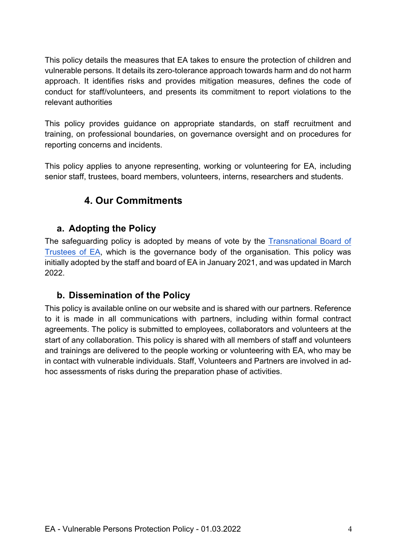This policy details the measures that EA takes to ensure the protection of children and vulnerable persons. It details its zero-tolerance approach towards harm and do not harm approach. It identifies risks and provides mitigation measures, defines the code of conduct for staff/volunteers, and presents its commitment to report violations to the relevant authorities

This policy provides guidance on appropriate standards, on staff recruitment and training, on professional boundaries, on governance oversight and on procedures for reporting concerns and incidents.

This policy applies to anyone representing, working or volunteering for EA, including senior staff, trustees, board members, volunteers, interns, researchers and students.

# **4. Our Commitments**

### **a. Adopting the Policy**

The safeguarding policy is adopted by means of vote by the Transnational Board of Trustees of EA, which is the governance body of the organisation. This policy was initially adopted by the staff and board of EA in January 2021, and was updated in March 2022.

### **b. Dissemination of the Policy**

This policy is available online on our website and is shared with our partners. Reference to it is made in all communications with partners, including within formal contract agreements. The policy is submitted to employees, collaborators and volunteers at the start of any collaboration. This policy is shared with all members of staff and volunteers and trainings are delivered to the people working or volunteering with EA, who may be in contact with vulnerable individuals. Staff, Volunteers and Partners are involved in adhoc assessments of risks during the preparation phase of activities.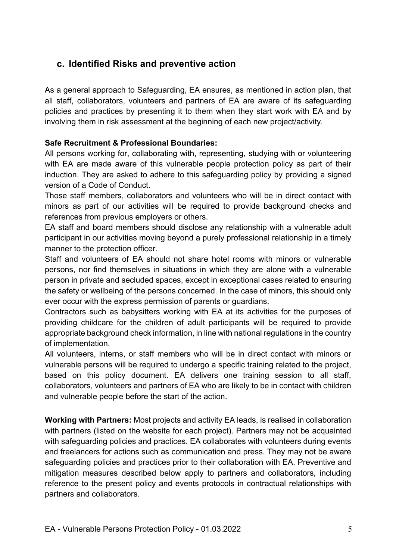### **c. Identified Risks and preventive action**

As a general approach to Safeguarding, EA ensures, as mentioned in action plan, that all staff, collaborators, volunteers and partners of EA are aware of its safeguarding policies and practices by presenting it to them when they start work with EA and by involving them in risk assessment at the beginning of each new project/activity.

#### **Safe Recruitment & Professional Boundaries:**

All persons working for, collaborating with, representing, studying with or volunteering with EA are made aware of this vulnerable people protection policy as part of their induction. They are asked to adhere to this safeguarding policy by providing a signed version of a Code of Conduct.

Those staff members, collaborators and volunteers who will be in direct contact with minors as part of our activities will be required to provide background checks and references from previous employers or others.

EA staff and board members should disclose any relationship with a vulnerable adult participant in our activities moving beyond a purely professional relationship in a timely manner to the protection officer.

Staff and volunteers of EA should not share hotel rooms with minors or vulnerable persons, nor find themselves in situations in which they are alone with a vulnerable person in private and secluded spaces, except in exceptional cases related to ensuring the safety or wellbeing of the persons concerned. In the case of minors, this should only ever occur with the express permission of parents or guardians.

Contractors such as babysitters working with EA at its activities for the purposes of providing childcare for the children of adult participants will be required to provide appropriate background check information, in line with national regulations in the country of implementation.

All volunteers, interns, or staff members who will be in direct contact with minors or vulnerable persons will be required to undergo a specific training related to the project, based on this policy document. EA delivers one training session to all staff, collaborators, volunteers and partners of EA who are likely to be in contact with children and vulnerable people before the start of the action.

**Working with Partners:** Most projects and activity EA leads, is realised in collaboration with partners (listed on the website for each project). Partners may not be acquainted with safeguarding policies and practices. EA collaborates with volunteers during events and freelancers for actions such as communication and press. They may not be aware safeguarding policies and practices prior to their collaboration with EA. Preventive and mitigation measures described below apply to partners and collaborators, including reference to the present policy and events protocols in contractual relationships with partners and collaborators.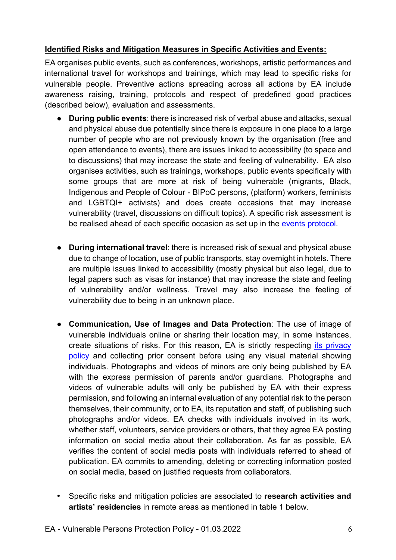#### **Identified Risks and Mitigation Measures in Specific Activities and Events:**

EA organises public events, such as conferences, workshops, artistic performances and international travel for workshops and trainings, which may lead to specific risks for vulnerable people. Preventive actions spreading across all actions by EA include awareness raising, training, protocols and respect of predefined good practices (described below), evaluation and assessments.

- **During public events:** there is increased risk of verbal abuse and attacks, sexual and physical abuse due potentially since there is exposure in one place to a large number of people who are not previously known by the organisation (free and open attendance to events), there are issues linked to accessibility (to space and to discussions) that may increase the state and feeling of vulnerability. EA also organises activities, such as trainings, workshops, public events specifically with some groups that are more at risk of being vulnerable (migrants, Black, Indigenous and People of Colour - BIPoC persons, (platform) workers, feminists and LGBTQI+ activists) and does create occasions that may increase vulnerability (travel, discussions on difficult topics). A specific risk assessment is be realised ahead of each specific occasion as set up in the events protocol.
- **During international travel**: there is increased risk of sexual and physical abuse due to change of location, use of public transports, stay overnight in hotels. There are multiple issues linked to accessibility (mostly physical but also legal, due to legal papers such as visas for instance) that may increase the state and feeling of vulnerability and/or wellness. Travel may also increase the feeling of vulnerability due to being in an unknown place.
- **Communication, Use of Images and Data Protection**: The use of image of vulnerable individuals online or sharing their location may, in some instances, create situations of risks. For this reason, EA is strictly respecting its privacy policy and collecting prior consent before using any visual material showing individuals. Photographs and videos of minors are only being published by EA with the express permission of parents and/or guardians. Photographs and videos of vulnerable adults will only be published by EA with their express permission, and following an internal evaluation of any potential risk to the person themselves, their community, or to EA, its reputation and staff, of publishing such photographs and/or videos. EA checks with individuals involved in its work, whether staff, volunteers, service providers or others, that they agree EA posting information on social media about their collaboration. As far as possible, EA verifies the content of social media posts with individuals referred to ahead of publication. EA commits to amending, deleting or correcting information posted on social media, based on justified requests from collaborators.
- Specific risks and mitigation policies are associated to **research activities and artists' residencies** in remote areas as mentioned in table 1 below.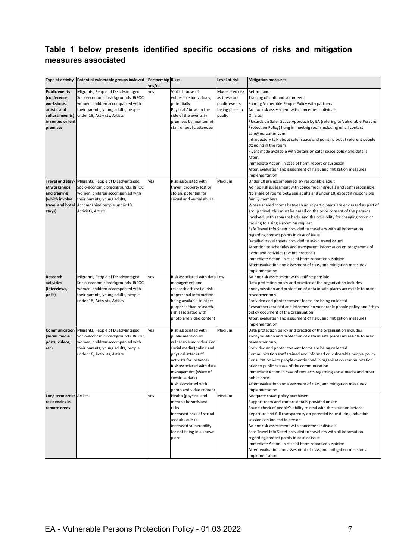### **Table 1 below presents identified specific occasions of risks and mitigation measures associated**

|                          | Type of activity Potential vulnerable groups invloved Partnership Risks |        |                               | Level of risk   | <b>Mitigation measures</b>                                              |
|--------------------------|-------------------------------------------------------------------------|--------|-------------------------------|-----------------|-------------------------------------------------------------------------|
|                          |                                                                         | yes/no |                               |                 |                                                                         |
| <b>Public events</b>     | Migrants, People of Disadvantaged                                       | yes    | Verbal abuse of               | Moderated risk  | Beforehand:                                                             |
| (conference,             | Socio-economic brackgrounds, BiPOC,                                     |        | vulnerable individuals,       | as these are    | Training of staff and volunteers                                        |
| workshops,               | women, children accompanied with                                        |        | potentially                   | public events,  | Sharing Vulnerable People Policy with partners                          |
| artistic and             | their parents, young adults, people                                     |        | Physical Abuse on the         | taking place in | Ad hoc risk assessment with concerned indiviuals                        |
| cultural events)         | under 18, Activists, Artists                                            |        | side of the events in         | public          | On site:                                                                |
| in rented or lent        |                                                                         |        | premises by member of         |                 | Placards on Safer Space Approach by EA (refering to Vulnerable Persons  |
| premises                 |                                                                         |        | staff or public attendee      |                 | Protection Policy) hung in meetnig room including email contact         |
|                          |                                                                         |        |                               |                 | safe@euroalter.com                                                      |
|                          |                                                                         |        |                               |                 | Introductory talk about safer space and pointing out at referent people |
|                          |                                                                         |        |                               |                 | standing in the room                                                    |
|                          |                                                                         |        |                               |                 | Flyers made available with details on safer space policy and details    |
|                          |                                                                         |        |                               |                 | After:                                                                  |
|                          |                                                                         |        |                               |                 | Immediate Action in case of harm report or suspicion                    |
|                          |                                                                         |        |                               |                 | After: evaluation and assesment of risks, and mitigation measures       |
|                          |                                                                         |        |                               |                 | implementation                                                          |
| Travel and stay-         | Migrants, People of Disadvantaged                                       | yes    | Risk associated with          | Medium          | Under 18 are accompanied by responsible adult                           |
| at workshops             | Socio-economic brackgrounds, BiPOC,                                     |        | travel: property lost or      |                 | Ad hoc risk assessment with concerned indiviuals and staff responsible  |
| and training             | women, children accompanied with                                        |        | stolen, potential for         |                 | No share of rooms between adults and under 18, except if responsible    |
| (which involve           | their parents, young adults,                                            |        | sexual and verbal abuse       |                 | family members                                                          |
| travel and hotel         | Accompanied people under 18,                                            |        |                               |                 | Where shared rooms between adult participants are envisaged as part of  |
| stays)                   | Activists, Artists                                                      |        |                               |                 | group travel, this must be based on the prior consent of the persons    |
|                          |                                                                         |        |                               |                 | involved, with separate beds, and the possibility for changing room or  |
|                          |                                                                         |        |                               |                 | moving to a single room on request.                                     |
|                          |                                                                         |        |                               |                 | Safe Travel Info Sheet provided to travellers with all information      |
|                          |                                                                         |        |                               |                 | regarding contact points in case of issue                               |
|                          |                                                                         |        |                               |                 | Detailed travel sheets provided to avoid travel issues                  |
|                          |                                                                         |        |                               |                 | Attention to schedules and transparent information on programme of      |
|                          |                                                                         |        |                               |                 | event and activities (events protocol)                                  |
|                          |                                                                         |        |                               |                 | Immediate Action in case of harm report or suspicion                    |
|                          |                                                                         |        |                               |                 | After: evaluation and assesment of risks, and mitigation measures       |
|                          |                                                                         |        |                               |                 | implementation                                                          |
| Research                 | Migrants, People of Disadvantaged                                       | yes    | Risk associated with data Low |                 | Ad hoc risk assessment with staff responsible                           |
| activities               | Socio-economic brackgrounds, BiPOC,                                     |        | management and                |                 | Data protection policy and practice of the organisation includes        |
| (interviews,             | women, children accompanied with                                        |        | research ethics: i.e. risk    |                 | anonymisation and protection of data in safe places accessible to main  |
| polls)                   | their parents, young adults, people                                     |        | of personal information       |                 | researcher only                                                         |
|                          | under 18, Activists, Artists                                            |        | being available to other      |                 | For video and photo: consent forms are being collected                  |
|                          |                                                                         |        | purposes than research,       |                 | Researchers trained and informed on vulnerable people policy and Ethics |
|                          |                                                                         |        | rish associated with          |                 | policy document of the organisation                                     |
|                          |                                                                         |        | photo and video content       |                 | After: evaluation and assesment of risks, and mitigation measures       |
|                          |                                                                         |        |                               |                 | implementation                                                          |
| Communication            | Migrants, People of Disadvantaged                                       | yes    | Risk associated with          | Medium          | Data protection policy and practice of the organisation includes        |
| (social media            | Socio-economic brackgrounds, BiPOC,                                     |        | public mention of             |                 | anonymisation and protection of data in safe places accessible to main  |
| posts, videos,           | women, children accompanied with                                        |        | vulnerable individuals on     |                 | researcher only                                                         |
| etc)                     | their parents, young adults, people                                     |        | social media (online and      |                 | For video and photo: consent forms are being collected                  |
|                          | under 18, Activists, Artists                                            |        | physical attacks of           |                 | Communication staff trained and informed on vulnerable people policy    |
|                          |                                                                         |        | activists for instance)       |                 | Consultation with people mentionned in organisation communication       |
|                          |                                                                         |        | Risk associated with data     |                 | prior to public release of the communication                            |
|                          |                                                                         |        | management (share of          |                 | Immediate Action in case of requests regarding social media and other   |
|                          |                                                                         |        | sensitive data)               |                 | public posts                                                            |
|                          |                                                                         |        | Rish associated with          |                 | After: evaluation and assesment of risks, and mitigation measures       |
|                          |                                                                         |        | photo and video content       |                 | implementation                                                          |
| Long term artist Artists |                                                                         | yes    | Health (physical and          | Medium          | Adequate travel policy purchased                                        |
| residencies in           |                                                                         |        | mental) hazards and           |                 | Support team and contact details provided onsite                        |
| remote areas             |                                                                         |        | risks                         |                 | Sound check of people's ability to deal with the situation before       |
|                          |                                                                         |        | Increased risks of sexual     |                 | departure and full transparency on potential issue during induction     |
|                          |                                                                         |        | assaults due to               |                 | sessions online and in person                                           |
|                          |                                                                         |        | increased vulnerability       |                 | Ad hoc risk assessment with concerned indiviuals                        |
|                          |                                                                         |        | for not being in a known      |                 | Safe Travel Info Sheet provided to travellers with all information      |
|                          |                                                                         |        | place                         |                 | regarding contact points in case of issue                               |
|                          |                                                                         |        |                               |                 | Immediate Action in case of harm report or suspicion                    |
|                          |                                                                         |        |                               |                 | After: evaluation and assesment of risks, and mitigation measures       |
|                          |                                                                         |        |                               |                 | implementation                                                          |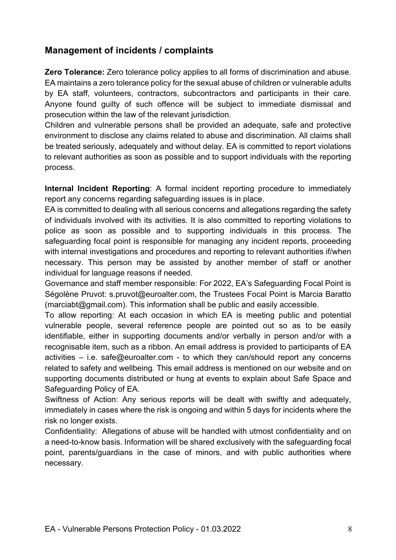### **Management of incidents / complaints**

**Zero Tolerance:** Zero tolerance policy applies to all forms of discrimination and abuse. EA maintains a zero tolerance policy for the sexual abuse of children or vulnerable adults by EA staff, volunteers, contractors, subcontractors and participants in their care. Anyone found guilty of such offence will be subject to immediate dismissal and prosecution within the law of the relevant jurisdiction.

Children and vulnerable persons shall be provided an adequate, safe and protective environment to disclose any claims related to abuse and discrimination. All claims shall be treated seriously, adequately and without delay. EA is committed to report violations to relevant authorities as soon as possible and to support individuals with the reporting process.

**Internal Incident Reporting**: A formal incident reporting procedure to immediately report any concerns regarding safeguarding issues is in place.

EA is committed to dealing with all serious concerns and allegations regarding the safety of individuals involved with its activities. It is also committed to reporting violations to police as soon as possible and to supporting individuals in this process. The safeguarding focal point is responsible for managing any incident reports, proceeding with internal investigations and procedures and reporting to relevant authorities if/when necessary. This person may be assisted by another member of staff or another individual for language reasons if needed.

Governance and staff member responsible: For 2022, EA's Safeguarding Focal Point is Ségolène Pruvot: s.pruvot@euroalter.com, the Trustees Focal Point is Marcia Baratto (marciabt@gmail.com). This information shall be public and easily accessible.

To allow reporting: At each occasion in which EA is meeting public and potential vulnerable people, several reference people are pointed out so as to be easily identifiable, either in supporting documents and/or verbally in person and/or with a recognisable item, such as a ribbon. An email address is provided to participants of EA activities – i.e. safe@euroalter.com - to which they can/should report any concerns related to safety and wellbeing. This email address is mentioned on our website and on supporting documents distributed or hung at events to explain about Safe Space and Safeguarding Policy of EA.

Swiftness of Action: Any serious reports will be dealt with swiftly and adequately, immediately in cases where the risk is ongoing and within 5 days for incidents where the risk no longer exists.

Confidentiality: Allegations of abuse will be handled with utmost confidentiality and on a need-to-know basis. Information will be shared exclusively with the safeguarding focal point, parents/guardians in the case of minors, and with public authorities where necessary.